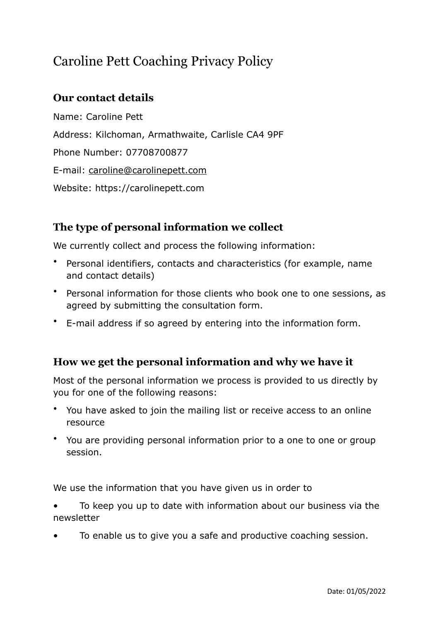# Caroline Pett Coaching Privacy Policy

## **Our contact details**

Name: Caroline Pett Address: Kilchoman, Armathwaite, Carlisle CA4 9PF Phone Number: 07708700877 E-mail: [caroline@carolinepett.com](mailto:caroline@carolinepett.com) Website: https://carolinepett.com

## **The type of personal information we collect**

We currently collect and process the following information:

- Personal identifiers, contacts and characteristics (for example, name and contact details)
- Personal information for those clients who book one to one sessions, as agreed by submitting the consultation form.
- E-mail address if so agreed by entering into the information form.

#### **How we get the personal information and why we have it**

Most of the personal information we process is provided to us directly by you for one of the following reasons:

- You have asked to join the mailing list or receive access to an online resource
- You are providing personal information prior to a one to one or group session.

We use the information that you have given us in order to

• To keep you up to date with information about our business via the newsletter

• To enable us to give you a safe and productive coaching session.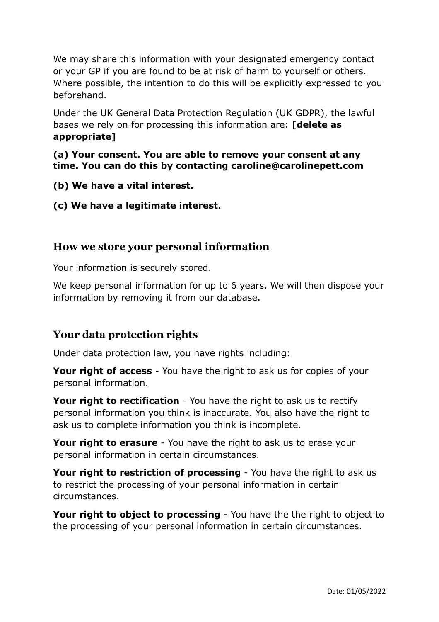We may share this information with your designated emergency contact or your GP if you are found to be at risk of harm to yourself or others. Where possible, the intention to do this will be explicitly expressed to you beforehand.

Under the UK General Data Protection Regulation (UK GDPR), the lawful bases we rely on for processing this information are: **[delete as appropriate]**

**(a) Your consent. You are able to remove your consent at any time. You can do this by contacting caroline@carolinepett.com**

- **(b) We have a vital interest.**
- **(c) We have a legitimate interest.**

#### **How we store your personal information**

Your information is securely stored.

We keep personal information for up to 6 years. We will then dispose your information by removing it from our database.

## **Your data protection rights**

Under data protection law, you have rights including:

**Your right of access** - You have the right to ask us for copies of your personal information.

**Your right to rectification** - You have the right to ask us to rectify personal information you think is inaccurate. You also have the right to ask us to complete information you think is incomplete.

**Your right to erasure** - You have the right to ask us to erase your personal information in certain circumstances.

**Your right to restriction of processing** - You have the right to ask us to restrict the processing of your personal information in certain circumstances.

**Your right to object to processing** - You have the the right to object to the processing of your personal information in certain circumstances.